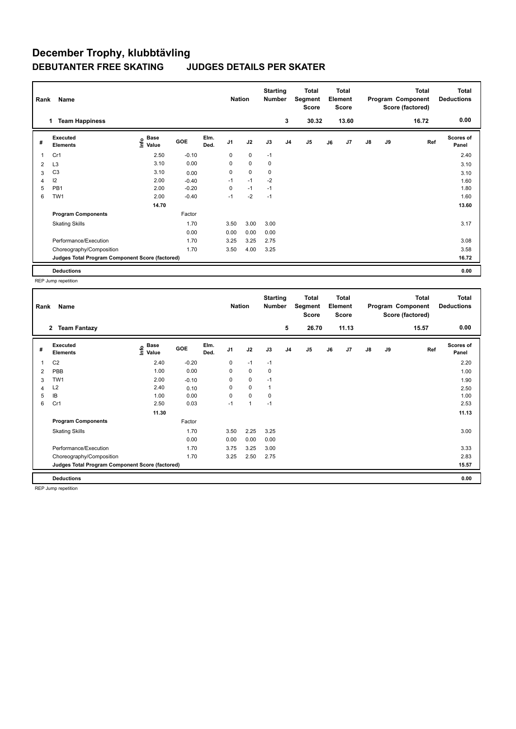## **December Trophy, klubbtävling DEBUTANTER FREE SKATING JUDGES DETAILS PER SKATER**

| Name<br>Rank |                                                 |                                             |            |              |                |             | <b>Starting</b><br>Number |                | <b>Total</b><br>Segment<br>Score | <b>Total</b><br>Element<br><b>Score</b> |                |               |    | <b>Total</b><br>Program Component<br>Score (factored) | <b>Total</b><br><b>Deductions</b> |
|--------------|-------------------------------------------------|---------------------------------------------|------------|--------------|----------------|-------------|---------------------------|----------------|----------------------------------|-----------------------------------------|----------------|---------------|----|-------------------------------------------------------|-----------------------------------|
|              | <b>Team Happiness</b><br>$\mathbf{1}$           |                                             |            |              |                |             |                           | 3              | 30.32                            |                                         | 13.60          |               |    | 16.72                                                 | 0.00                              |
| #            | Executed<br><b>Elements</b>                     | <b>Base</b><br>e <sup>Base</sup><br>⊆ Value | <b>GOE</b> | Elm.<br>Ded. | J <sub>1</sub> | J2          | J3                        | J <sub>4</sub> | J5                               | J6                                      | J <sub>7</sub> | $\mathsf{J}8$ | J9 | Ref                                                   | <b>Scores of</b><br>Panel         |
|              | Cr1                                             | 2.50                                        | $-0.10$    |              | 0              | 0           | $-1$                      |                |                                  |                                         |                |               |    |                                                       | 2.40                              |
| 2            | L <sub>3</sub>                                  | 3.10                                        | 0.00       |              | $\mathbf 0$    | $\mathbf 0$ | 0                         |                |                                  |                                         |                |               |    |                                                       | 3.10                              |
| 3            | C <sub>3</sub>                                  | 3.10                                        | 0.00       |              | 0              | 0           | 0                         |                |                                  |                                         |                |               |    |                                                       | 3.10                              |
| 4            | 12                                              | 2.00                                        | $-0.40$    |              | $-1$           | $-1$        | $-2$                      |                |                                  |                                         |                |               |    |                                                       | 1.60                              |
| 5            | PB <sub>1</sub>                                 | 2.00                                        | $-0.20$    |              | 0              | $-1$        | $-1$                      |                |                                  |                                         |                |               |    |                                                       | 1.80                              |
| 6            | TW1                                             | 2.00                                        | $-0.40$    |              | $-1$           | $-2$        | $-1$                      |                |                                  |                                         |                |               |    |                                                       | 1.60                              |
|              |                                                 | 14.70                                       |            |              |                |             |                           |                |                                  |                                         |                |               |    |                                                       | 13.60                             |
|              | <b>Program Components</b>                       |                                             | Factor     |              |                |             |                           |                |                                  |                                         |                |               |    |                                                       |                                   |
|              | <b>Skating Skills</b>                           |                                             | 1.70       |              | 3.50           | 3.00        | 3.00                      |                |                                  |                                         |                |               |    |                                                       | 3.17                              |
|              |                                                 |                                             | 0.00       |              | 0.00           | 0.00        | 0.00                      |                |                                  |                                         |                |               |    |                                                       |                                   |
|              | Performance/Execution                           |                                             | 1.70       |              | 3.25           | 3.25        | 2.75                      |                |                                  |                                         |                |               |    |                                                       | 3.08                              |
|              | Choreography/Composition                        |                                             | 1.70       |              | 3.50           | 4.00        | 3.25                      |                |                                  |                                         |                |               |    |                                                       | 3.58                              |
|              | Judges Total Program Component Score (factored) |                                             |            |              |                |             |                           |                |                                  |                                         |                |               |    |                                                       | 16.72                             |
|              | <b>Deductions</b>                               |                                             |            |              |                |             |                           |                |                                  |                                         |                |               |    |                                                       | 0.00                              |

REP Jump repetition

| Rank | Name                                            |                                           |            |              | <b>Nation</b>  |              | <b>Starting</b><br><b>Number</b> |                | Total<br>Segment<br><b>Score</b> |    | <b>Total</b><br>Element<br><b>Score</b> |               |    | <b>Total</b><br>Program Component<br>Score (factored) | <b>Total</b><br><b>Deductions</b> |
|------|-------------------------------------------------|-------------------------------------------|------------|--------------|----------------|--------------|----------------------------------|----------------|----------------------------------|----|-----------------------------------------|---------------|----|-------------------------------------------------------|-----------------------------------|
|      | <b>Team Fantazy</b><br>$\overline{2}$           |                                           |            |              |                |              |                                  | 5              | 26.70                            |    | 11.13                                   |               |    | 15.57                                                 | 0.00                              |
| #    | Executed<br><b>Elements</b>                     | $\frac{e}{E}$ Base<br>$\frac{E}{E}$ Value | <b>GOE</b> | Elm.<br>Ded. | J <sub>1</sub> | J2           | J3                               | J <sub>4</sub> | J <sub>5</sub>                   | J6 | J7                                      | $\mathsf{J}8$ | J9 | Ref                                                   | Scores of<br>Panel                |
| 1    | C <sub>2</sub>                                  | 2.40                                      | $-0.20$    |              | $\Omega$       | $-1$         | $-1$                             |                |                                  |    |                                         |               |    |                                                       | 2.20                              |
| 2    | PBB                                             | 1.00                                      | 0.00       |              | 0              | 0            | 0                                |                |                                  |    |                                         |               |    |                                                       | 1.00                              |
| 3    | TW1                                             | 2.00                                      | $-0.10$    |              | 0              | $\mathbf 0$  | $-1$                             |                |                                  |    |                                         |               |    |                                                       | 1.90                              |
| 4    | L2                                              | 2.40                                      | 0.10       |              | 0              | $\mathbf 0$  | $\mathbf{1}$                     |                |                                  |    |                                         |               |    |                                                       | 2.50                              |
| 5    | IB                                              | 1.00                                      | 0.00       |              | 0              | $\mathbf 0$  | 0                                |                |                                  |    |                                         |               |    |                                                       | 1.00                              |
| 6    | Cr1                                             | 2.50                                      | 0.03       |              | $-1$           | $\mathbf{1}$ | $-1$                             |                |                                  |    |                                         |               |    |                                                       | 2.53                              |
|      |                                                 | 11.30                                     |            |              |                |              |                                  |                |                                  |    |                                         |               |    |                                                       | 11.13                             |
|      | <b>Program Components</b>                       |                                           | Factor     |              |                |              |                                  |                |                                  |    |                                         |               |    |                                                       |                                   |
|      | <b>Skating Skills</b>                           |                                           | 1.70       |              | 3.50           | 2.25         | 3.25                             |                |                                  |    |                                         |               |    |                                                       | 3.00                              |
|      |                                                 |                                           | 0.00       |              | 0.00           | 0.00         | 0.00                             |                |                                  |    |                                         |               |    |                                                       |                                   |
|      | Performance/Execution                           |                                           | 1.70       |              | 3.75           | 3.25         | 3.00                             |                |                                  |    |                                         |               |    |                                                       | 3.33                              |
|      | Choreography/Composition                        |                                           | 1.70       |              | 3.25           | 2.50         | 2.75                             |                |                                  |    |                                         |               |    |                                                       | 2.83                              |
|      | Judges Total Program Component Score (factored) |                                           |            |              |                |              |                                  |                |                                  |    |                                         |               |    |                                                       | 15.57                             |
|      | <b>Deductions</b>                               |                                           |            |              |                |              |                                  |                |                                  |    |                                         |               |    |                                                       | 0.00                              |

REP Jump repetition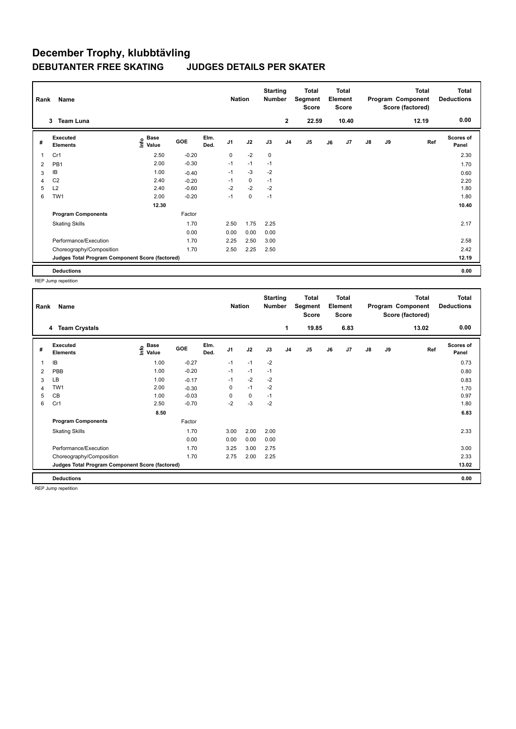## **December Trophy, klubbtävling DEBUTANTER FREE SKATING JUDGES DETAILS PER SKATER**

| Name<br>Rank   |                                                 |                                    |            |              |                | <b>Nation</b> |      | <b>Starting</b><br><b>Number</b> | Total<br>Segment<br><b>Score</b> | Total<br>Element<br><b>Score</b> |       |               |    | Total<br>Program Component<br>Score (factored) | <b>Total</b><br><b>Deductions</b> |
|----------------|-------------------------------------------------|------------------------------------|------------|--------------|----------------|---------------|------|----------------------------------|----------------------------------|----------------------------------|-------|---------------|----|------------------------------------------------|-----------------------------------|
|                | 3<br><b>Team Luna</b>                           |                                    |            |              |                |               |      | $\overline{2}$                   | 22.59                            |                                  | 10.40 |               |    | 12.19                                          | 0.00                              |
| #              | <b>Executed</b><br><b>Elements</b>              | <b>Base</b><br>$\frac{6}{5}$ Value | <b>GOE</b> | Elm.<br>Ded. | J <sub>1</sub> | J2            | J3   | J4                               | J5                               | J6                               | J7    | $\mathsf{J}8$ | J9 | Ref                                            | <b>Scores of</b><br>Panel         |
| $\overline{1}$ | Cr1                                             | 2.50                               | $-0.20$    |              | 0              | $-2$          | 0    |                                  |                                  |                                  |       |               |    |                                                | 2.30                              |
| 2              | PB1                                             | 2.00                               | $-0.30$    |              | $-1$           | $-1$          | $-1$ |                                  |                                  |                                  |       |               |    |                                                | 1.70                              |
| 3              | IB                                              | 1.00                               | $-0.40$    |              | $-1$           | $-3$          | $-2$ |                                  |                                  |                                  |       |               |    |                                                | 0.60                              |
| $\overline{4}$ | C <sub>2</sub>                                  | 2.40                               | $-0.20$    |              | $-1$           | $\mathbf 0$   | $-1$ |                                  |                                  |                                  |       |               |    |                                                | 2.20                              |
| 5              | L2                                              | 2.40                               | $-0.60$    |              | $-2$           | $-2$          | $-2$ |                                  |                                  |                                  |       |               |    |                                                | 1.80                              |
| 6              | TW1                                             | 2.00                               | $-0.20$    |              | $-1$           | $\mathbf 0$   | $-1$ |                                  |                                  |                                  |       |               |    |                                                | 1.80                              |
|                |                                                 | 12.30                              |            |              |                |               |      |                                  |                                  |                                  |       |               |    |                                                | 10.40                             |
|                | <b>Program Components</b>                       |                                    | Factor     |              |                |               |      |                                  |                                  |                                  |       |               |    |                                                |                                   |
|                | <b>Skating Skills</b>                           |                                    | 1.70       |              | 2.50           | 1.75          | 2.25 |                                  |                                  |                                  |       |               |    |                                                | 2.17                              |
|                |                                                 |                                    | 0.00       |              | 0.00           | 0.00          | 0.00 |                                  |                                  |                                  |       |               |    |                                                |                                   |
|                | Performance/Execution                           |                                    | 1.70       |              | 2.25           | 2.50          | 3.00 |                                  |                                  |                                  |       |               |    |                                                | 2.58                              |
|                | Choreography/Composition                        |                                    | 1.70       |              | 2.50           | 2.25          | 2.50 |                                  |                                  |                                  |       |               |    |                                                | 2.42                              |
|                | Judges Total Program Component Score (factored) |                                    |            |              |                |               |      |                                  |                                  |                                  |       |               |    |                                                | 12.19                             |
|                | <b>Deductions</b>                               |                                    |            |              |                |               |      |                                  |                                  |                                  |       |               |    |                                                | 0.00                              |

REP Jump repetition

| Rank | Name                                            |                            |            |              | <b>Nation</b>  |             | <b>Starting</b><br><b>Number</b> |                | <b>Total</b><br>Segment<br><b>Score</b> |    | <b>Total</b><br>Element<br><b>Score</b> |               |    | <b>Total</b><br>Program Component<br>Score (factored) | <b>Total</b><br><b>Deductions</b> |
|------|-------------------------------------------------|----------------------------|------------|--------------|----------------|-------------|----------------------------------|----------------|-----------------------------------------|----|-----------------------------------------|---------------|----|-------------------------------------------------------|-----------------------------------|
|      | <b>Team Crystals</b><br>4                       |                            |            |              |                |             |                                  | 1              | 19.85                                   |    | 6.83                                    |               |    | 13.02                                                 | 0.00                              |
| #    | Executed<br><b>Elements</b>                     | e Base<br>E Value<br>Value | <b>GOE</b> | Elm.<br>Ded. | J <sub>1</sub> | J2          | J3                               | J <sub>4</sub> | J <sub>5</sub>                          | J6 | J7                                      | $\mathsf{J}8$ | J9 | Ref                                                   | <b>Scores of</b><br>Panel         |
| 1    | IB                                              | 1.00                       | $-0.27$    |              | $-1$           | $-1$        | $-2$                             |                |                                         |    |                                         |               |    |                                                       | 0.73                              |
| 2    | PBB                                             | 1.00                       | $-0.20$    |              | $-1$           | $-1$        | $-1$                             |                |                                         |    |                                         |               |    |                                                       | 0.80                              |
| 3    | LВ                                              | 1.00                       | $-0.17$    |              | $-1$           | $-2$        | $-2$                             |                |                                         |    |                                         |               |    |                                                       | 0.83                              |
| 4    | TW <sub>1</sub>                                 | 2.00                       | $-0.30$    |              | 0              | $-1$        | $-2$                             |                |                                         |    |                                         |               |    |                                                       | 1.70                              |
| 5    | <b>CB</b>                                       | 1.00                       | $-0.03$    |              | 0              | $\mathbf 0$ | $-1$                             |                |                                         |    |                                         |               |    |                                                       | 0.97                              |
| 6    | Cr1                                             | 2.50                       | $-0.70$    |              | $-2$           | $-3$        | $-2$                             |                |                                         |    |                                         |               |    |                                                       | 1.80                              |
|      |                                                 | 8.50                       |            |              |                |             |                                  |                |                                         |    |                                         |               |    |                                                       | 6.83                              |
|      | <b>Program Components</b>                       |                            | Factor     |              |                |             |                                  |                |                                         |    |                                         |               |    |                                                       |                                   |
|      | <b>Skating Skills</b>                           |                            | 1.70       |              | 3.00           | 2.00        | 2.00                             |                |                                         |    |                                         |               |    |                                                       | 2.33                              |
|      |                                                 |                            | 0.00       |              | 0.00           | 0.00        | 0.00                             |                |                                         |    |                                         |               |    |                                                       |                                   |
|      | Performance/Execution                           |                            | 1.70       |              | 3.25           | 3.00        | 2.75                             |                |                                         |    |                                         |               |    |                                                       | 3.00                              |
|      | Choreography/Composition                        |                            | 1.70       |              | 2.75           | 2.00        | 2.25                             |                |                                         |    |                                         |               |    |                                                       | 2.33                              |
|      | Judges Total Program Component Score (factored) |                            |            |              |                |             |                                  |                |                                         |    |                                         |               |    |                                                       | 13.02                             |
|      | <b>Deductions</b>                               |                            |            |              |                |             |                                  |                |                                         |    |                                         |               |    |                                                       | 0.00                              |

REP Jump repetition